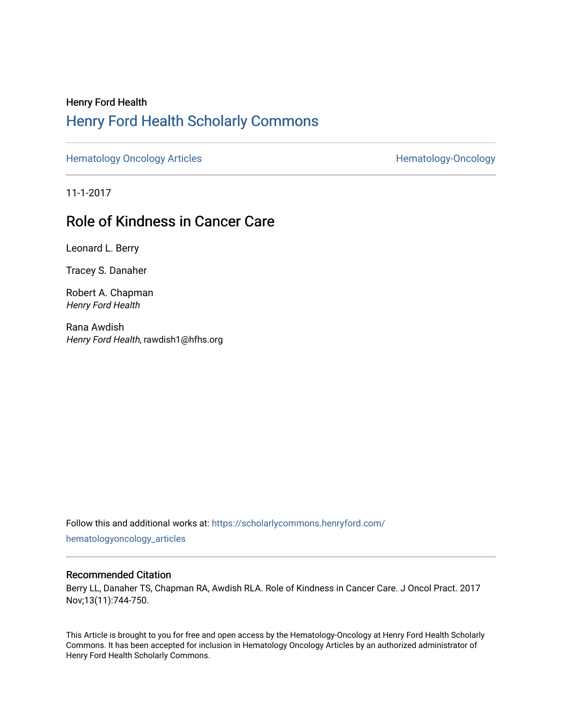# Henry Ford Health [Henry Ford Health Scholarly Commons](https://scholarlycommons.henryford.com/)

[Hematology Oncology Articles](https://scholarlycommons.henryford.com/hematologyoncology_articles) **Hematology-Oncology** 

11-1-2017

# Role of Kindness in Cancer Care

Leonard L. Berry

Tracey S. Danaher

Robert A. Chapman Henry Ford Health

Rana Awdish Henry Ford Health, rawdish1@hfhs.org

Follow this and additional works at: [https://scholarlycommons.henryford.com/](https://scholarlycommons.henryford.com/hematologyoncology_articles?utm_source=scholarlycommons.henryford.com%2Fhematologyoncology_articles%2F53&utm_medium=PDF&utm_campaign=PDFCoverPages) [hematologyoncology\\_articles](https://scholarlycommons.henryford.com/hematologyoncology_articles?utm_source=scholarlycommons.henryford.com%2Fhematologyoncology_articles%2F53&utm_medium=PDF&utm_campaign=PDFCoverPages)

## Recommended Citation

Berry LL, Danaher TS, Chapman RA, Awdish RLA. Role of Kindness in Cancer Care. J Oncol Pract. 2017 Nov;13(11):744-750.

This Article is brought to you for free and open access by the Hematology-Oncology at Henry Ford Health Scholarly Commons. It has been accepted for inclusion in Hematology Oncology Articles by an authorized administrator of Henry Ford Health Scholarly Commons.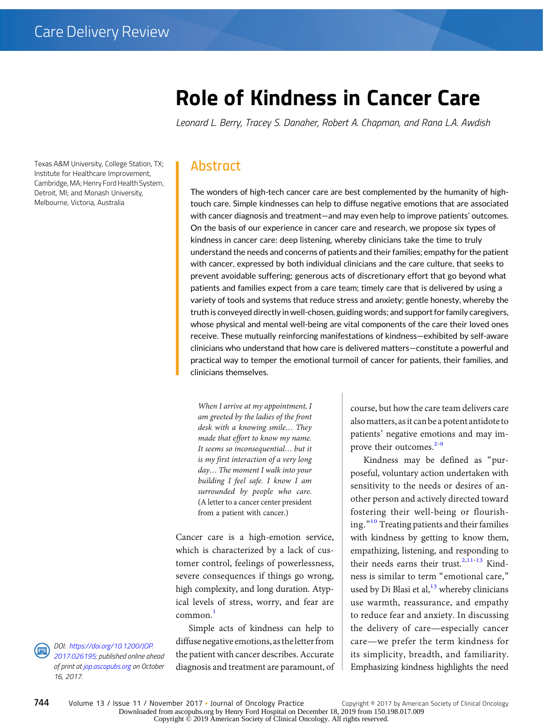# Role of Kindness in Cancer Care

Leonard L. Berry, Tracey S. Danaher, Robert A. Chapman, and Rana L.A. Awdish

Texas A&M University, College Station, TX; Institute for Healthcare Improvement, Cambridge, MA; Henry Ford Health System, Detroit, MI; and Monash University, Melbourne, Victoria, Australia

# Abstract

The wonders of high-tech cancer care are best complemented by the humanity of hightouch care. Simple kindnesses can help to diffuse negative emotions that are associated with cancer diagnosis and treatment—and may even help to improve patients' outcomes. On the basis of our experience in cancer care and research, we propose six types of kindness in cancer care: deep listening, whereby clinicians take the time to truly understand the needs and concerns of patients and their families; empathy for the patient with cancer, expressed by both individual clinicians and the care culture, that seeks to prevent avoidable suffering; generous acts of discretionary effort that go beyond what patients and families expect from a care team; timely care that is delivered by using a variety of tools and systems that reduce stress and anxiety; gentle honesty, whereby the truth is conveyed directly in well-chosen, guiding words; and support for family caregivers, whose physical and mental well-being are vital components of the care their loved ones receive. These mutually reinforcing manifestations of kindness—exhibited by self-aware clinicians who understand that how care is delivered matters—constitute a powerful and practical way to temper the emotional turmoil of cancer for patients, their families, and clinicians themselves.

When I arrive at my appointment, I am greeted by the ladies of the front desk with a knowing smile… They made that effort to know my name. It seems so inconsequential… but it is my first interaction of a very long day… The moment I walk into your building I feel safe. I know I am surrounded by people who care. (A letter to a cancer center president from a patient with cancer.)

Cancer care is a high-emotion service, which is characterized by a lack of customer control, feelings of powerlessness, severe consequences if things go wrong, high complexity, and long duration. Atypical levels of stress, worry, and fear are  $common<sup>1</sup>$  $common<sup>1</sup>$  $common<sup>1</sup>$ 

Simple acts of kindness can help to diffuse negative emotions, as the letter from the patient with cancer describes. Accurate diagnosis and treatment are paramount, of course, but how the care team delivers care alsomatters, as it canbe apotent antidoteto patients' negative emotions and may im-prove their outcomes.<sup>[2-9](#page-6-0)</sup>

Kindness may be defined as "purposeful, voluntary action undertaken with sensitivity to the needs or desires of another person and actively directed toward fostering their well-being or flourishing."[10](#page-6-0) Treating patients and their families with kindness by getting to know them, empathizing, listening, and responding to their needs earns their trust.<sup>2,[11](#page-6-0)-[13](#page-6-0)</sup> Kindness is similar to term "emotional care," used by Di Blasi et al, $13$  whereby clinicians use warmth, reassurance, and empathy to reduce fear and anxiety. In discussing the delivery of care—especially cancer care—we prefer the term kindness for its simplicity, breadth, and familiarity. Emphasizing kindness highlights the need

DOI: [https://doi.org/10.1200/JOP.](http://ascopubs.org/doi/full/10.1200/JOP.2017.026195) [2017.026195;](http://ascopubs.org/doi/full/10.1200/JOP.2017.026195) published online ahead of print at [jop.ascopubs.org](http://jop.ascopubs.org) on October 16, 2017.

Downloaded from ascopubs.org by Henry Ford Hospital on December 18, 2019 from 150.198.017.009 Copyright © 2019 American Society of Clinical Oncology. All rights reserved.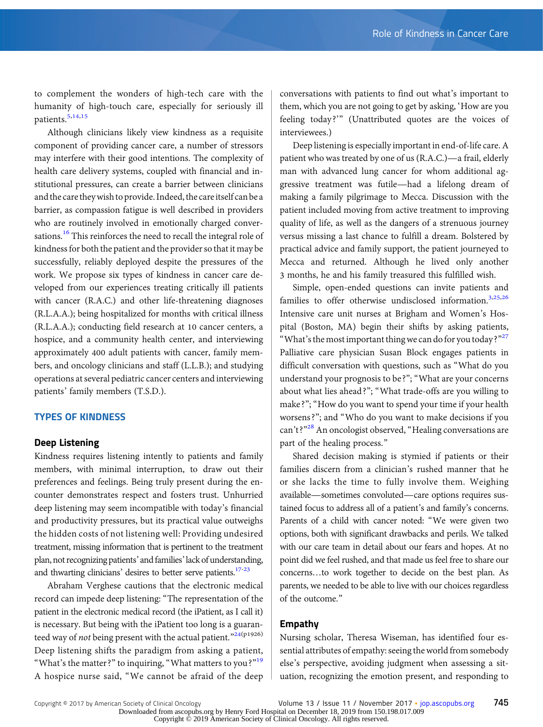to complement the wonders of high-tech care with the humanity of high-touch care, especially for seriously ill patients.<sup>[5,14,15](#page-6-0)</sup>

Although clinicians likely view kindness as a requisite component of providing cancer care, a number of stressors may interfere with their good intentions. The complexity of health care delivery systems, coupled with financial and institutional pressures, can create a barrier between clinicians and the care they wish to provide. Indeed, the care itself can be a barrier, as compassion fatigue is well described in providers who are routinely involved in emotionally charged conver-sations.<sup>[16](#page-6-0)</sup> This reinforces the need to recall the integral role of kindness for both the patient and the provider so that it may be successfully, reliably deployed despite the pressures of the work. We propose six types of kindness in cancer care developed from our experiences treating critically ill patients with cancer (R.A.C.) and other life-threatening diagnoses (R.L.A.A.); being hospitalized for months with critical illness (R.L.A.A.); conducting field research at 10 cancer centers, a hospice, and a community health center, and interviewing approximately 400 adult patients with cancer, family members, and oncology clinicians and staff (L.L.B.); and studying operations at several pediatric cancer centers and interviewing patients' family members (T.S.D.).

## TYPES OF KINDNESS

#### Deep Listening

Kindness requires listening intently to patients and family members, with minimal interruption, to draw out their preferences and feelings. Being truly present during the encounter demonstrates respect and fosters trust. Unhurried deep listening may seem incompatible with today's financial and productivity pressures, but its practical value outweighs the hidden costs of not listening well: Providing undesired treatment, missing information that is pertinent to the treatment plan, not recognizing patients' andfamilies'lack of understanding, and thwarting clinicians' desires to better serve patients.<sup>17-23</sup>

Abraham Verghese cautions that the electronic medical record can impede deep listening: "The representation of the patient in the electronic medical record (the iPatient, as I call it) is necessary. But being with the iPatient too long is a guaranteed way of *not* being present with the actual patient."<sup>[24\(](#page-6-0)p1926)</sup> Deep listening shifts the paradigm from asking a patient, "What's the matter?" to inquiring, "What matters to you?"<sup>[19](#page-6-0)</sup> A hospice nurse said, "We cannot be afraid of the deep conversations with patients to find out what's important to them, which you are not going to get by asking, 'How are you feeling today?'" (Unattributed quotes are the voices of interviewees.)

Deep listening is especially important in end-of-life care. A patient who was treated by one of us (R.A.C.)—a frail, elderly man with advanced lung cancer for whom additional aggressive treatment was futile—had a lifelong dream of making a family pilgrimage to Mecca. Discussion with the patient included moving from active treatment to improving quality of life, as well as the dangers of a strenuous journey versus missing a last chance to fulfill a dream. Bolstered by practical advice and family support, the patient journeyed to Mecca and returned. Although he lived only another 3 months, he and his family treasured this fulfilled wish.

Simple, open-ended questions can invite patients and families to offer otherwise undisclosed information.<sup>3,25,26</sup> Intensive care unit nurses at Brigham and Women's Hospital (Boston, MA) begin their shifts by asking patients, "What's the most important thing we can do for you today?"[27](#page-6-0) Palliative care physician Susan Block engages patients in difficult conversation with questions, such as "What do you understand your prognosis to be?"; "What are your concerns about what lies ahead?"; "What trade-offs are you willing to make?"; "How do you want to spend your time if your health worsens?"; and "Who do you want to make decisions if you can't?"<sup>[28](#page-6-0)</sup> An oncologist observed, "Healing conversations are part of the healing process."

Shared decision making is stymied if patients or their families discern from a clinician's rushed manner that he or she lacks the time to fully involve them. Weighing available—sometimes convoluted—care options requires sustained focus to address all of a patient's and family's concerns. Parents of a child with cancer noted: "We were given two options, both with significant drawbacks and perils. We talked with our care team in detail about our fears and hopes. At no point did we feel rushed, and that made us feel free to share our concerns…to work together to decide on the best plan. As parents, we needed to be able to live with our choices regardless of the outcome."

#### Empathy

Nursing scholar, Theresa Wiseman, has identified four essential attributes of empathy: seeing the world from somebody else's perspective, avoiding judgment when assessing a situation, recognizing the emotion present, and responding to

Downloaded from ascopubs.org by Henry Ford Hospital on December 18, 2019 from 150.198.017.009 Copyright © 2019 American Society of Clinical Oncology. All rights reserved.

Copyright © 2017 by American Society of Clinical Oncology Volume 13 / Issue 11 / November 2017 • [jop.ascopubs.org](http://jop.ascopubs.org) 745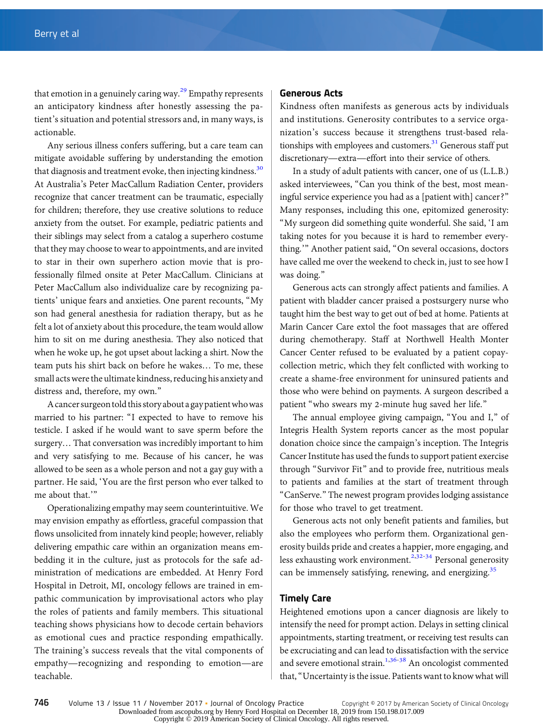that emotion in a genuinely caring way.<sup>[29](#page-6-0)</sup> Empathy represents an anticipatory kindness after honestly assessing the patient's situation and potential stressors and, in many ways, is actionable.

Any serious illness confers suffering, but a care team can mitigate avoidable suffering by understanding the emotion that diagnosis and treatment evoke, then injecting kindness. $30$ At Australia's Peter MacCallum Radiation Center, providers recognize that cancer treatment can be traumatic, especially for children; therefore, they use creative solutions to reduce anxiety from the outset. For example, pediatric patients and their siblings may select from a catalog a superhero costume that they may choose to wear to appointments, and are invited to star in their own superhero action movie that is professionally filmed onsite at Peter MacCallum. Clinicians at Peter MacCallum also individualize care by recognizing patients' unique fears and anxieties. One parent recounts, "My son had general anesthesia for radiation therapy, but as he felt a lot of anxiety about this procedure, the team would allow him to sit on me during anesthesia. They also noticed that when he woke up, he got upset about lacking a shirt. Now the team puts his shirt back on before he wakes… To me, these small acts were the ultimate kindness, reducing his anxiety and distress and, therefore, my own."

A cancer surgeon told this story about a gay patient who was married to his partner: "I expected to have to remove his testicle. I asked if he would want to save sperm before the surgery… That conversation was incredibly important to him and very satisfying to me. Because of his cancer, he was allowed to be seen as a whole person and not a gay guy with a partner. He said, 'You are the first person who ever talked to me about that.'"

Operationalizing empathy may seem counterintuitive. We may envision empathy as effortless, graceful compassion that flows unsolicited from innately kind people; however, reliably delivering empathic care within an organization means embedding it in the culture, just as protocols for the safe administration of medications are embedded. At Henry Ford Hospital in Detroit, MI, oncology fellows are trained in empathic communication by improvisational actors who play the roles of patients and family members. This situational teaching shows physicians how to decode certain behaviors as emotional cues and practice responding empathically. The training's success reveals that the vital components of empathy—recognizing and responding to emotion—are teachable.

## Generous Acts

Kindness often manifests as generous acts by individuals and institutions. Generosity contributes to a service organization's success because it strengthens trust-based relationships with employees and customers.<sup>31</sup> Generous staff put discretionary—extra—effort into their service of others.

In a study of adult patients with cancer, one of us (L.L.B.) asked interviewees, "Can you think of the best, most meaningful service experience you had as a [patient with] cancer?" Many responses, including this one, epitomized generosity: "My surgeon did something quite wonderful. She said, 'I am taking notes for you because it is hard to remember everything.'" Another patient said, "On several occasions, doctors have called me over the weekend to check in, just to see how I was doing."

Generous acts can strongly affect patients and families. A patient with bladder cancer praised a postsurgery nurse who taught him the best way to get out of bed at home. Patients at Marin Cancer Care extol the foot massages that are offered during chemotherapy. Staff at Northwell Health Monter Cancer Center refused to be evaluated by a patient copaycollection metric, which they felt conflicted with working to create a shame-free environment for uninsured patients and those who were behind on payments. A surgeon described a patient "who swears my 2-minute hug saved her life."

The annual employee giving campaign, "You and I," of Integris Health System reports cancer as the most popular donation choice since the campaign's inception. The Integris Cancer Institute has used the funds to support patient exercise through "Survivor Fit" and to provide free, nutritious meals to patients and families at the start of treatment through "CanServe." The newest program provides lodging assistance for those who travel to get treatment.

Generous acts not only benefit patients and families, but also the employees who perform them. Organizational generosity builds pride and creates a happier, more engaging, and less exhausting work environment.<sup>[2,32-34](#page-6-0)</sup> Personal generosity can be immensely satisfying, renewing, and energizing.<sup>[35](#page-6-0)</sup>

#### Timely Care

Heightened emotions upon a cancer diagnosis are likely to intensify the need for prompt action. Delays in setting clinical appointments, starting treatment, or receiving test results can be excruciating and can lead to dissatisfaction with the service and severe emotional strain.<sup>[1,36-38](#page-6-0)</sup> An oncologist commented that, "Uncertainty is the issue. Patients want to know what will

<sup>746</sup> Volume 13 / Issue 11 / November 2017 . Journal of Oncology Practice Copyright © 2017 by American Society of Clinical Oncology Downloaded from ascopubs.org by Henry Ford Hospital on December 18, 2019 from 150.198.017.009

Copyright © 2019 American Society of Clinical Oncology. All rights reserved.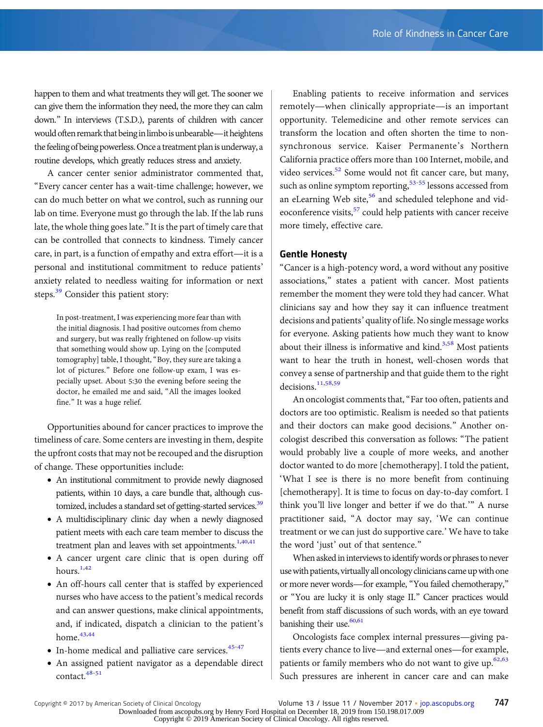happen to them and what treatments they will get. The sooner we can give them the information they need, the more they can calm down." In interviews (T.S.D.), parents of children with cancer would often remark that being in limbo is unbearable—it heightens the feeling of being powerless. Once a treatment plan is underway, a routine develops, which greatly reduces stress and anxiety.

A cancer center senior administrator commented that, "Every cancer center has a wait-time challenge; however, we can do much better on what we control, such as running our lab on time. Everyone must go through the lab. If the lab runs late, the whole thing goes late." It is the part of timely care that can be controlled that connects to kindness. Timely cancer care, in part, is a function of empathy and extra effort—it is a personal and institutional commitment to reduce patients' anxiety related to needless waiting for information or next steps.<sup>39</sup> Consider this patient story:

In post-treatment, I was experiencing more fear than with the initial diagnosis. I had positive outcomes from chemo and surgery, but was really frightened on follow-up visits that something would show up. Lying on the [computed tomography] table, I thought, "Boy, they sure are taking a lot of pictures." Before one follow-up exam, I was especially upset. About 5:30 the evening before seeing the doctor, he emailed me and said, "All the images looked fine." It was a huge relief.

Opportunities abound for cancer practices to improve the timeliness of care. Some centers are investing in them, despite the upfront costs that may not be recouped and the disruption of change. These opportunities include:

- An institutional commitment to provide newly diagnosed patients, within 10 days, a care bundle that, although cus-tomized, includes a standard set of getting-started services.<sup>[39](#page-6-0)</sup>
- A multidisciplinary clinic day when a newly diagnosed patient meets with each care team member to discuss the treatment plan and leaves with set appointments.<sup>1,40,41</sup>
- A cancer urgent care clinic that is open during off hours $1,42$
- An off-hours call center that is staffed by experienced nurses who have access to the patient's medical records and can answer questions, make clinical appointments, and, if indicated, dispatch a clinician to the patient's home. $43,44$  $43,44$  $43,44$
- In-home medical and palliative care services.<sup>[45-47](#page-6-0)</sup>
- An assigned patient navigator as a dependable direct contact.<sup>[48-51](#page-7-0)</sup>

Enabling patients to receive information and services remotely—when clinically appropriate—is an important opportunity. Telemedicine and other remote services can transform the location and often shorten the time to nonsynchronous service. Kaiser Permanente's Northern California practice offers more than 100 Internet, mobile, and video services. $52$  Some would not fit cancer care, but many, such as online symptom reporting,  $53-55$  lessons accessed from an eLearning Web site, $56$  and scheduled telephone and videoconference visits, $57$  could help patients with cancer receive more timely, effective care.

#### Gentle Honesty

"Cancer is a high-potency word, a word without any positive associations," states a patient with cancer. Most patients remember the moment they were told they had cancer. What clinicians say and how they say it can influence treatment decisions and patients' quality of life. No single message works for everyone. Asking patients how much they want to know about their illness is informative and kind. $3.58$  $3.58$  Most patients want to hear the truth in honest, well-chosen words that convey a sense of partnership and that guide them to the right decisions.<sup>11[,58,59](#page-7-0)</sup>

An oncologist comments that, "Far too often, patients and doctors are too optimistic. Realism is needed so that patients and their doctors can make good decisions." Another oncologist described this conversation as follows: "The patient would probably live a couple of more weeks, and another doctor wanted to do more [chemotherapy]. I told the patient, 'What I see is there is no more benefit from continuing [chemotherapy]. It is time to focus on day-to-day comfort. I think you'll live longer and better if we do that.'" A nurse practitioner said, "A doctor may say, 'We can continue treatment or we can just do supportive care.' We have to take the word 'just' out of that sentence."

When asked in interviews to identify words or phrases to never use with patients, virtually all oncology clinicians came up with one or more never words—for example, "You failed chemotherapy," or "You are lucky it is only stage II." Cancer practices would benefit from staff discussions of such words, with an eye toward banishing their use. $60,61$ 

Oncologists face complex internal pressures—giving patients every chance to live—and external ones—for example, patients or family members who do not want to give up.  $62,63$ Such pressures are inherent in cancer care and can make

Downloaded from ascopubs.org by Henry Ford Hospital on December 18, 2019 from 150.198.017.009

Copyright © 2017 by American Society of Clinical Oncology Volume 13 / Issue 11 / November 2017 • [jop.ascopubs.org](http://jop.ascopubs.org) 747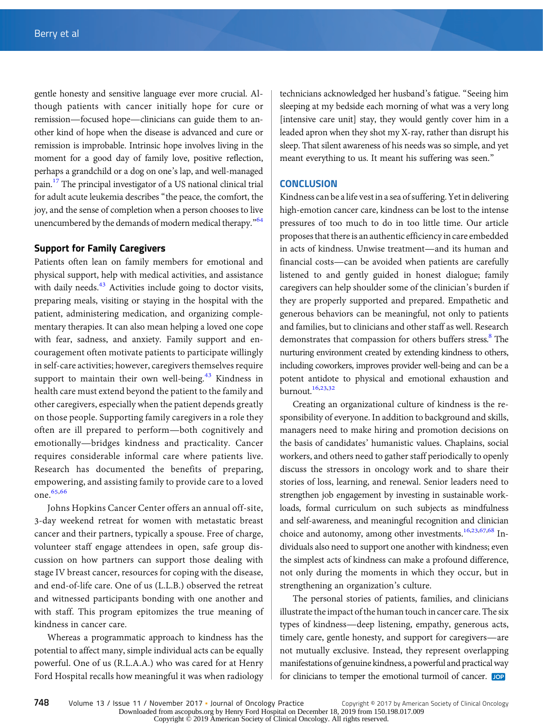gentle honesty and sensitive language ever more crucial. Although patients with cancer initially hope for cure or remission—focused hope—clinicians can guide them to another kind of hope when the disease is advanced and cure or remission is improbable. Intrinsic hope involves living in the moment for a good day of family love, positive reflection, perhaps a grandchild or a dog on one's lap, and well-managed pain.[17](#page-6-0) The principal investigator of a US national clinical trial for adult acute leukemia describes "the peace, the comfort, the joy, and the sense of completion when a person chooses to live unencumbered by the demands of modern medical therapy."<sup>[64](#page-7-0)</sup>

### Support for Family Caregivers

Patients often lean on family members for emotional and physical support, help with medical activities, and assistance with daily needs. $43$  Activities include going to doctor visits, preparing meals, visiting or staying in the hospital with the patient, administering medication, and organizing complementary therapies. It can also mean helping a loved one cope with fear, sadness, and anxiety. Family support and encouragement often motivate patients to participate willingly in self-care activities; however, caregivers themselves require support to maintain their own well-being.<sup>[43](#page-6-0)</sup> Kindness in health care must extend beyond the patient to the family and other caregivers, especially when the patient depends greatly on those people. Supporting family caregivers in a role they often are ill prepared to perform—both cognitively and emotionally—bridges kindness and practicality. Cancer requires considerable informal care where patients live. Research has documented the benefits of preparing, empowering, and assisting family to provide care to a loved one.<sup>[65,66](#page-7-0)</sup>

Johns Hopkins Cancer Center offers an annual off-site, 3-day weekend retreat for women with metastatic breast cancer and their partners, typically a spouse. Free of charge, volunteer staff engage attendees in open, safe group discussion on how partners can support those dealing with stage IV breast cancer, resources for coping with the disease, and end-of-life care. One of us (L.L.B.) observed the retreat and witnessed participants bonding with one another and with staff. This program epitomizes the true meaning of kindness in cancer care.

Whereas a programmatic approach to kindness has the potential to affect many, simple individual acts can be equally powerful. One of us (R.L.A.A.) who was cared for at Henry Ford Hospital recalls how meaningful it was when radiology technicians acknowledged her husband's fatigue. "Seeing him sleeping at my bedside each morning of what was a very long [intensive care unit] stay, they would gently cover him in a leaded apron when they shot my X-ray, rather than disrupt his sleep. That silent awareness of his needs was so simple, and yet meant everything to us. It meant his suffering was seen."

#### **CONCLUSION**

Kindness can be a life vest in a sea of suffering. Yet in delivering high-emotion cancer care, kindness can be lost to the intense pressures of too much to do in too little time. Our article proposes that there is an authentic efficiency in care embedded in acts of kindness. Unwise treatment—and its human and financial costs—can be avoided when patients are carefully listened to and gently guided in honest dialogue; family caregivers can help shoulder some of the clinician's burden if they are properly supported and prepared. Empathetic and generous behaviors can be meaningful, not only to patients and families, but to clinicians and other staff as well. Research demonstrates that compassion for others buffers stress.<sup>8</sup> The nurturing environment created by extending kindness to others, including coworkers, improves provider well-being and can be a potent antidote to physical and emotional exhaustion and burnout[.16](#page-6-0),[23](#page-6-0),[32](#page-6-0)

Creating an organizational culture of kindness is the responsibility of everyone. In addition to background and skills, managers need to make hiring and promotion decisions on the basis of candidates' humanistic values. Chaplains, social workers, and others need to gather staff periodically to openly discuss the stressors in oncology work and to share their stories of loss, learning, and renewal. Senior leaders need to strengthen job engagement by investing in sustainable workloads, formal curriculum on such subjects as mindfulness and self-awareness, and meaningful recognition and clinician choice and autonomy, among other investments.<sup>16,[23](#page-6-0),[67,68](#page-7-0)</sup> Individuals also need to support one another with kindness; even the simplest acts of kindness can make a profound difference, not only during the moments in which they occur, but in strengthening an organization's culture.

The personal stories of patients, families, and clinicians illustrate the impact of the human touch in cancer care. The six types of kindness—deep listening, empathy, generous acts, timely care, gentle honesty, and support for caregivers—are not mutually exclusive. Instead, they represent overlapping manifestations of genuine kindness, a powerful and practical way for clinicians to temper the emotional turmoil of cancer. JOP

Copyright © 2019 American Society of Clinical Oncology. All rights reserved.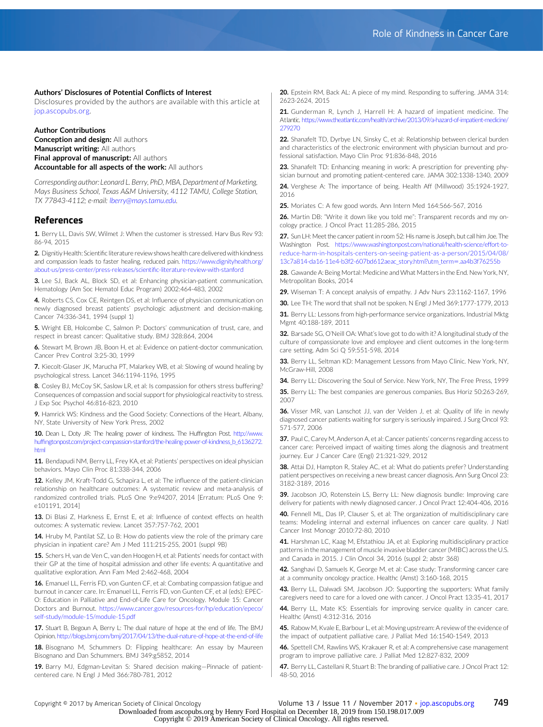#### <span id="page-6-0"></span>Authors' Disclosures of Potential Conflicts of Interest

Disclosures provided by the authors are available with this article at [jop.ascopubs.org.](http://jop.ascopubs.org)

Author Contributions **Conception and design: All authors** Manuscript writing: All authors Final approval of manuscript: All authors Accountable for all aspects of the work: All authors

Corresponding author: Leonard L. Berry, PhD, MBA, Department of Marketing, Mays Business School, Texas A&M University, 4112 TAMU, College Station, TX 77843-4112; e-mail: [lberry@mays.tamu.edu.](mailto:lberry@mays.tamu.edu)

#### References

1. Berry LL, Davis SW, Wilmet J: When the customer is stressed. Harv Bus Rev 93: 86-94, 2015

2. Dignitiy Health: Scientific literature review shows health care delivered with kindness and compassion leads to faster healing, reduced pain. [https://www.dignityhealth.org/](https://www.dignityhealth.org/about-us/press-center/press-releases/scientific-literature-review-with-stanford) [about-us/press-center/press-releases/scienti](https://www.dignityhealth.org/about-us/press-center/press-releases/scientific-literature-review-with-stanford)fic-literature-review-with-stanford

3. Lee SJ, Back AL, Block SD, et al: Enhancing physician-patient communication. Hematology (Am Soc Hematol Educ Program) 2002:464-483, 2002

4. Roberts CS, Cox CE, Reintgen DS, et al: Influence of physician communication on newly diagnosed breast patients' psychologic adjustment and decision-making. Cancer 74:336-341, 1994 (suppl 1)

5. Wright EB, Holcombe C, Salmon P: Doctors' communication of trust, care, and respect in breast cancer: Qualitative study. BMJ 328:864, 2004

6. Stewart M, Brown JB, Boon H, et al: Evidence on patient-doctor communication. Cancer Prev Control 3:25-30, 1999

7. Kiecolt-Glaser JK, Marucha PT, Malarkey WB, et al: Slowing of wound healing by psychological stress. Lancet 346:1194-1196, 1995

8. Cosley BJ, McCoy SK, Saslow LR, et al: Is compassion for others stress buffering? Consequences of compassion and social support for physiological reactivity to stress. J Exp Soc Psychol 46:816-823, 2010

9. Hamrick WS: Kindness and the Good Society: Connections of the Heart. Albany, NY, State University of New York Press, 2002

10. Dean L, Doty JR: The healing power of kindness. The Huffington Post. [http://www.](http://www.huffingtonpost.com/project-compassion-stanford/the-healing-power-of-kindness_b_6136272.html) huffi[ngtonpost.com/project-compassion-stanford/the-healing-power-of-kindness\\_b\\_6136272.](http://www.huffingtonpost.com/project-compassion-stanford/the-healing-power-of-kindness_b_6136272.html) [html](http://www.huffingtonpost.com/project-compassion-stanford/the-healing-power-of-kindness_b_6136272.html)

11. Bendapudi NM, Berry LL, Frey KA, et al: Patients' perspectives on ideal physician behaviors. Mayo Clin Proc 81:338-344, 2006

12. Kelley JM, Kraft-Todd G, Schapira L, et al: The influence of the patient-clinician relationship on healthcare outcomes: A systematic review and meta-analysis of randomized controlled trials. PLoS One 9:e94207, 2014 [Erratum: PLoS One 9: e101191, 2014]

13. Di Blasi Z, Harkness E, Ernst E, et al: Influence of context effects on health outcomes: A systematic review. Lancet 357:757-762, 2001

14. Hruby M, Pantilat SZ, Lo B: How do patients view the role of the primary care physician in inpatient care? Am J Med 111:21S-25S, 2001 (suppl 9B)

15. Schers H, van de Ven C, van den Hoogen H, et al: Patients' needs for contact with their GP at the time of hospital admission and other life events: A quantitative and qualitative exploration. Ann Fam Med 2:462-468, 2004

16. Emanuel LL, Ferris FD, von Gunten CF, et al: Combating compassion fatigue and burnout in cancer care. In: Emanuel LL, Ferris FD, von Gunten CF, et al (eds): EPEC-O: Education in Palliative and End-of-Life Care for Oncology. Module 15: Cancer Doctors and Burnout. [https://www.cancer.gov/resources-for/hp/education/epeco/](https://www.cancer.gov/resources-for/hp/education/epeco/self-study/module-15/module-15.pdf) [self-study/module-15/module-15.pdf](https://www.cancer.gov/resources-for/hp/education/epeco/self-study/module-15/module-15.pdf)

17. Stuart B, Begoun A, Berry L: The dual nature of hope at the end of life. The BMJ Opinion. <http://blogs.bmj.com/bmj/2017/04/13/the-dual-nature-of-hope-at-the-end-of-life>

18. Bisognano M, Schummers D: Flipping healthcare: An essay by Maureen Bisognano and Dan Schummers. BMJ 349:g5852, 2014

19. Barry MJ, Edgman-Levitan S: Shared decision making-Pinnacle of patientcentered care. N Engl J Med 366:780-781, 2012

20. Epstein RM, Back AL: A piece of my mind. Responding to suffering. JAMA 314: 2623-2624, 2015

21. Gunderman R, Lynch J, Harrell H: A hazard of impatient medicine. The Atlantic. [https://www.theatlantic.com/health/archive/2013/09/a-hazard-of-impatient-medicine/](https://www.theatlantic.com/health/archive/2013/09/a-hazard-of-impatient-medicine/279270) [279270](https://www.theatlantic.com/health/archive/2013/09/a-hazard-of-impatient-medicine/279270)

22. Shanafelt TD, Dyrbye LN, Sinsky C, et al: Relationship between clerical burden and characteristics of the electronic environment with physician burnout and professional satisfaction. Mayo Clin Proc 91:836-848, 2016

23. Shanafelt TD: Enhancing meaning in work: A prescription for preventing physician burnout and promoting patient-centered care. JAMA 302:1338-1340, 2009

24. Verghese A: The importance of being. Health Aff (Millwood) 35:1924-1927, 2016

25. Moriates C: A few good words. Ann Intern Med 164:566-567, 2016

26. Martin DB: "Write it down like you told me": Transparent records and my oncology practice. J Oncol Pract 11:285-286, 2015

27. Sun LH: Meet the cancer patient in room 52: His name is Joseph, but call him Joe. The Washington Post. [https://www.washingtonpost.com/national/health-science/effort-to](https://www.washingtonpost.com/national/health-science/effort-to-reduce-harm-in-hospitals-centers-on-seeing-patient-as-a-person/2015/04/08/13c7a814-da16-11e4-b3f2-607bd612aeac_story.html?utm_term=.aa4b3f76255b)[reduce-harm-in-hospitals-centers-on-seeing-patient-as-a-person/2015/04/08/](https://www.washingtonpost.com/national/health-science/effort-to-reduce-harm-in-hospitals-centers-on-seeing-patient-as-a-person/2015/04/08/13c7a814-da16-11e4-b3f2-607bd612aeac_story.html?utm_term=.aa4b3f76255b) [13c7a814-da16-11e4-b3f2-607bd612aeac\\_story.html?utm\\_term](https://www.washingtonpost.com/national/health-science/effort-to-reduce-harm-in-hospitals-centers-on-seeing-patient-as-a-person/2015/04/08/13c7a814-da16-11e4-b3f2-607bd612aeac_story.html?utm_term=.aa4b3f76255b)5[.aa4b3f76255b](https://www.washingtonpost.com/national/health-science/effort-to-reduce-harm-in-hospitals-centers-on-seeing-patient-as-a-person/2015/04/08/13c7a814-da16-11e4-b3f2-607bd612aeac_story.html?utm_term=.aa4b3f76255b)

28. Gawande A: Being Mortal: Medicine and What Matters in the End. New York, NY, Metropolitan Books, 2014

29. Wiseman T: A concept analysis of empathy. J Adv Nurs 23:1162-1167, 1996

30. Lee TH: The word that shall not be spoken. N Engl J Med 369:1777-1779, 2013

31. Berry LL: Lessons from high-performance service organizations. Industrial Mktg Mgmt 40:188-189, 2011

32. Barsade SG, O'Neill OA: What's love got to do with it? A longitudinal study of the culture of compassionate love and employee and client outcomes in the long-term care setting. Adm Sci Q 59:551-598, 2014

33. Berry LL, Seltman KD: Management Lessons from Mayo Clinic. New York, NY, McGraw-Hill, 2008

34. Berry LL: Discovering the Soul of Service. New York, NY, The Free Press, 1999

35. Berry LL: The best companies are generous companies. Bus Horiz 50:263-269, 2007

36. Visser MR, van Lanschot JJ, van der Velden J, et al: Quality of life in newly diagnosed cancer patients waiting for surgery is seriously impaired. J Surg Oncol 93: 571-577, 2006

37. Paul C, Carey M, Anderson A, et al: Cancer patients' concerns regarding access to cancer care: Perceived impact of waiting times along the diagnosis and treatment journey. Eur J Cancer Care (Engl) 21:321-329, 2012

38. Attai DJ, Hampton R, Staley AC, et al: What do patients prefer? Understanding patient perspectives on receiving a new breast cancer diagnosis. Ann Surg Oncol 23: 3182-3189, 2016

39. Jacobson JO, Rotenstein LS, Berry LL: New diagnosis bundle: Improving care delivery for patients with newly diagnosed cancer. J Oncol Pract 12:404-406, 2016

40. Fennell ML, Das IP, Clauser S, et al: The organization of multidisciplinary care teams: Modeling internal and external influences on cancer care quality. J Natl Cancer Inst Monogr 2010:72-80, 2010

41. Harshman LC, Kaag M, Efstathiou JA, et al: Exploring multidisciplinary practice patterns in the management of muscle invasive bladder cancer (MIBC) across the U.S. and Canada in 2015. J Clin Oncol 34, 2016 (suppl 2; abstr 368)

42. Sanghavi D, Samuels K, George M, et al: Case study: Transforming cancer care at a community oncology practice. Healthc (Amst) 3:160-168, 2015

43. Berry LL, Dalwadi SM, Jacobson JO: Supporting the supporters: What family caregivers need to care for a loved one with cancer. J Oncol Pract 13:35-41, 2017

44. Berry LL, Mate KS: Essentials for improving service quality in cancer care. Healthc (Amst) 4:312-316, 2016

45. Rabow M, Kvale E, Barbour L, et al: Moving upstream: A review of the evidence of the impact of outpatient palliative care. J Palliat Med 16:1540-1549, 2013

46. Spettell CM, Rawlins WS, Krakauer R, et al: A comprehensive case management program to improve palliative care. J Palliat Med 12:827-832, 2009

47. Berry LL, Castellani R, Stuart B: The branding of palliative care. J Oncol Pract 12: 48-50, 2016

Copyright  $\degree$  2017 by American Society of Clinical Oncology Volume 13 / Issue 11 / November 2017 • [jop.ascopubs.org](http://jop.ascopubs.org) 749 Downloaded from ascopubs.org by Henry Ford Hospital on December 18, 2019 from 150.198.017.009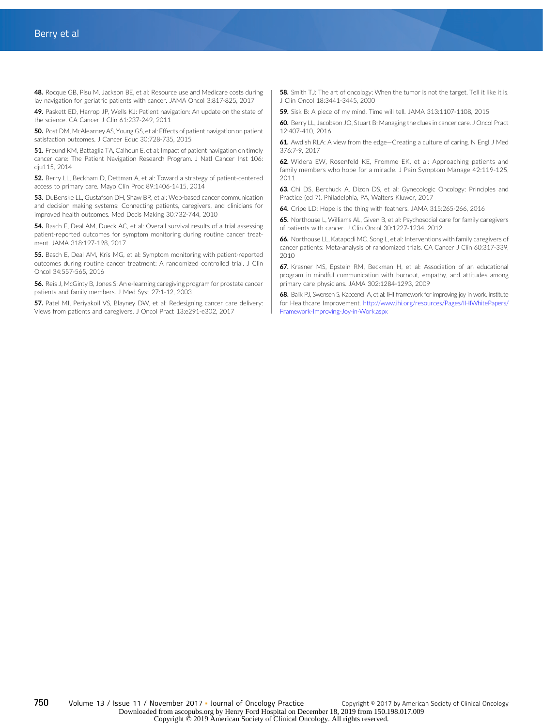<span id="page-7-0"></span>48. Rocque GB, Pisu M, Jackson BE, et al: Resource use and Medicare costs during lay navigation for geriatric patients with cancer. JAMA Oncol 3:817-825, 2017

49. Paskett ED, Harrop JP, Wells KJ: Patient navigation: An update on the state of the science. CA Cancer J Clin 61:237-249, 2011

50. Post DM, McAlearney AS, Young GS, et al: Effects of patient navigation on patient satisfaction outcomes. J Cancer Educ 30:728-735, 2015

51. Freund KM, Battaglia TA, Calhoun E, et al: Impact of patient navigation on timely cancer care: The Patient Navigation Research Program. J Natl Cancer Inst 106: dju115, 2014

52. Berry LL, Beckham D, Dettman A, et al: Toward a strategy of patient-centered access to primary care. Mayo Clin Proc 89:1406-1415, 2014

53. DuBenske LL, Gustafson DH, Shaw BR, et al: Web-based cancer communication and decision making systems: Connecting patients, caregivers, and clinicians for improved health outcomes. Med Decis Making 30:732-744, 2010

54. Basch E, Deal AM, Dueck AC, et al: Overall survival results of a trial assessing patient-reported outcomes for symptom monitoring during routine cancer treatment. JAMA 318:197-198, 2017

55. Basch E, Deal AM, Kris MG, et al: Symptom monitoring with patient-reported outcomes during routine cancer treatment: A randomized controlled trial. J Clin Oncol 34:557-565, 2016

56. Reis J, McGinty B, Jones S: An e-learning caregiving program for prostate cancer patients and family members. J Med Syst 27:1-12, 2003

57. Patel MI, Periyakoil VS, Blayney DW, et al: Redesigning cancer care delivery: Views from patients and caregivers. J Oncol Pract 13:e291-e302, 2017

58. Smith TJ: The art of oncology: When the tumor is not the target. Tell it like it is. J Clin Oncol 18:3441-3445, 2000

59. Sisk B: A piece of my mind. Time will tell. JAMA 313:1107-1108, 2015

60. Berry LL, Jacobson JO, Stuart B: Managing the clues in cancer care. J Oncol Pract 12:407-410, 2016

61. Awdish RLA: A view from the edge—Creating a culture of caring. N Engl J Med 376:7-9, 2017

62. Widera EW, Rosenfeld KE, Fromme EK, et al: Approaching patients and family members who hope for a miracle. J Pain Symptom Manage 42:119-125, 2011

63. Chi DS, Berchuck A, Dizon DS, et al: Gynecologic Oncology: Principles and Practice (ed 7). Philadelphia, PA, Walters Kluwer, 2017

64. Cripe LD: Hope is the thing with feathers. JAMA 315:265-266, 2016

65. Northouse L, Williams AL, Given B, et al: Psychosocial care for family caregivers of patients with cancer. J Clin Oncol 30:1227-1234, 2012

66. Northouse LL, Katapodi MC, Song L, et al: Interventions with family caregivers of cancer patients: Meta-analysis of randomized trials. CA Cancer J Clin 60:317-339, 2010

67. Krasner MS, Epstein RM, Beckman H, et al: Association of an educational program in mindful communication with burnout, empathy, and attitudes among primary care physicians. JAMA 302:1284-1293, 2009

68. Balik PJ, Swensen S, Kabcenell A, et al: IHI framework for improving joy in work. Institute for Healthcare Improvement. [http://www.ihi.org/resources/Pages/IHIWhitePapers/](http://www.ihi.org/resources/Pages/IHIWhitePapers/Framework-Improving-Joy-in-Work.aspx) [Framework-Improving-Joy-in-Work.aspx](http://www.ihi.org/resources/Pages/IHIWhitePapers/Framework-Improving-Joy-in-Work.aspx)